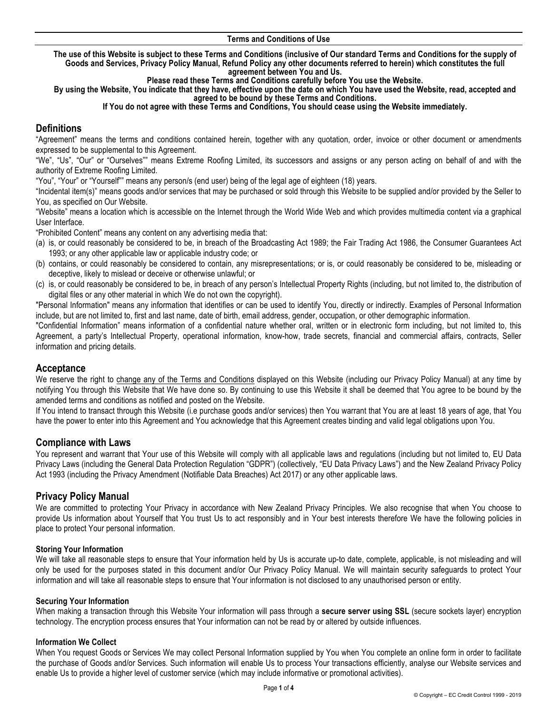### **Terms and Conditions of Use**

**The use of this Website is subject to these Terms and Conditions (inclusive of Our standard Terms and Conditions for the supply of Goods and Services, Privacy Policy Manual, Refund Policy any other documents referred to herein) which constitutes the full agreement between You and Us.** 

**Please read these Terms and Conditions carefully before You use the Website.** 

**By using the Website, You indicate that they have, effective upon the date on which You have used the Website, read, accepted and agreed to be bound by these Terms and Conditions.**

**If You do not agree with these Terms and Conditions, You should cease using the Website immediately.**

# **Definitions**

"Agreement" means the terms and conditions contained herein, together with any quotation, order, invoice or other document or amendments expressed to be supplemental to this Agreement.

"We", "Us", "Our" or "Ourselves"" means Extreme Roofing Limited, its successors and assigns or any person acting on behalf of and with the authority of Extreme Roofing Limited.

"You", "Your" or "Yourself"" means any person/s (end user) being of the legal age of eighteen (18) years.

"Incidental item(s)" means goods and/or services that may be purchased or sold through this Website to be supplied and/or provided by the Seller to You, as specified on Our Website.

"Website" means a location which is accessible on the Internet through the World Wide Web and which provides multimedia content via a graphical User Interface.

"Prohibited Content" means any content on any advertising media that:

- (a) is, or could reasonably be considered to be, in breach of the Broadcasting Act 1989; the Fair Trading Act 1986, the Consumer Guarantees Act 1993; or any other applicable law or applicable industry code; or
- (b) contains, or could reasonably be considered to contain, any misrepresentations; or is, or could reasonably be considered to be, misleading or deceptive, likely to mislead or deceive or otherwise unlawful; or
- (c) is, or could reasonably be considered to be, in breach of any person's Intellectual Property Rights (including, but not limited to, the distribution of digital files or any other material in which We do not own the copyright).

"Personal Information" means any information that identifies or can be used to identify You, directly or indirectly. Examples of Personal Information include, but are not limited to, first and last name, date of birth, email address, gender, occupation, or other demographic information.

"Confidential Information" means information of a confidential nature whether oral, written or in electronic form including, but not limited to, this Agreement, a party's Intellectual Property, operational information, know-how, trade secrets, financial and commercial affairs, contracts, Seller information and pricing details.

## **Acceptance**

We reserve the right to change any of the Terms and Conditions displayed on this Website (including our Privacy Policy Manual) at any time by notifying You through this Website that We have done so. By continuing to use this Website it shall be deemed that You agree to be bound by the amended terms and conditions as notified and posted on the Website.

If You intend to transact through this Website (i.e purchase goods and/or services) then You warrant that You are at least 18 years of age, that You have the power to enter into this Agreement and You acknowledge that this Agreement creates binding and valid legal obligations upon You.

## **Compliance with Laws**

You represent and warrant that Your use of this Website will comply with all applicable laws and regulations (including but not limited to, EU Data Privacy Laws (including the General Data Protection Regulation "GDPR") (collectively, "EU Data Privacy Laws") and the New Zealand Privacy Policy Act 1993 (including the Privacy Amendment (Notifiable Data Breaches) Act 2017) or any other applicable laws.

## **Privacy Policy Manual**

We are committed to protecting Your Privacy in accordance with New Zealand Privacy Principles. We also recognise that when You choose to provide Us information about Yourself that You trust Us to act responsibly and in Your best interests therefore We have the following policies in place to protect Your personal information.

### **Storing Your Information**

We will take all reasonable steps to ensure that Your information held by Us is accurate up-to date, complete, applicable, is not misleading and will only be used for the purposes stated in this document and/or Our Privacy Policy Manual. We will maintain security safeguards to protect Your information and will take all reasonable steps to ensure that Your information is not disclosed to any unauthorised person or entity.

### **Securing Your Information**

When making a transaction through this Website Your information will pass through a **secure server using SSL** (secure sockets layer) encryption technology. The encryption process ensures that Your information can not be read by or altered by outside influences.

### **Information We Collect**

When You request Goods or Services We may collect Personal Information supplied by You when You complete an online form in order to facilitate the purchase of Goods and/or Services. Such information will enable Us to process Your transactions efficiently, analyse our Website services and enable Us to provide a higher level of customer service (which may include informative or promotional activities).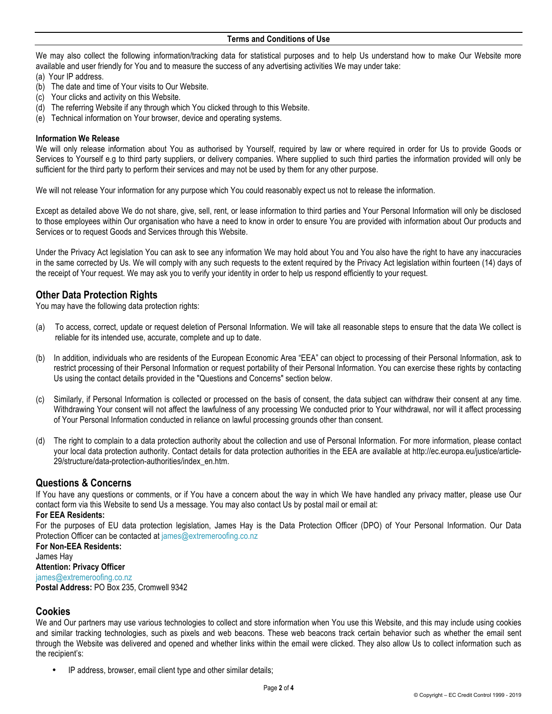We may also collect the following information/tracking data for statistical purposes and to help Us understand how to make Our Website more available and user friendly for You and to measure the success of any advertising activities We may under take:

- (a) Your IP address.
- (b) The date and time of Your visits to Our Website.
- (c) Your clicks and activity on this Website.
- (d) The referring Website if any through which You clicked through to this Website.
- (e) Technical information on Your browser, device and operating systems.

### **Information We Release**

We will only release information about You as authorised by Yourself, required by law or where required in order for Us to provide Goods or Services to Yourself e.g to third party suppliers, or delivery companies. Where supplied to such third parties the information provided will only be sufficient for the third party to perform their services and may not be used by them for any other purpose.

We will not release Your information for any purpose which You could reasonably expect us not to release the information.

Except as detailed above We do not share, give, sell, rent, or lease information to third parties and Your Personal Information will only be disclosed to those employees within Our organisation who have a need to know in order to ensure You are provided with information about Our products and Services or to request Goods and Services through this Website.

Under the Privacy Act legislation You can ask to see any information We may hold about You and You also have the right to have any inaccuracies in the same corrected by Us. We will comply with any such requests to the extent required by the Privacy Act legislation within fourteen (14) days of the receipt of Your request. We may ask you to verify your identity in order to help us respond efficiently to your request.

## **Other Data Protection Rights**

You may have the following data protection rights:

- (a) To access, correct, update or request deletion of Personal Information. We will take all reasonable steps to ensure that the data We collect is reliable for its intended use, accurate, complete and up to date.
- (b) In addition, individuals who are residents of the European Economic Area "EEA" can object to processing of their Personal Information, ask to restrict processing of their Personal Information or request portability of their Personal Information. You can exercise these rights by contacting Us using the contact details provided in the "Questions and Concerns" section below.
- (c) Similarly, if Personal Information is collected or processed on the basis of consent, the data subject can withdraw their consent at any time. Withdrawing Your consent will not affect the lawfulness of any processing We conducted prior to Your withdrawal, nor will it affect processing of Your Personal Information conducted in reliance on lawful processing grounds other than consent.
- (d) The right to complain to a data protection authority about the collection and use of Personal Information. For more information, please contact your local data protection authority. Contact details for data protection authorities in the EEA are available at http://ec.europa.eu/justice/article-29/structure/data-protection-authorities/index\_en.htm.

# **Questions & Concerns**

If You have any questions or comments, or if You have a concern about the way in which We have handled any privacy matter, please use Our contact form via this Website to send Us a message. You may also contact Us by postal mail or email at:

## **For EEA Residents:**

For the purposes of EU data protection legislation, James Hay is the Data Protection Officer (DPO) of Your Personal Information. Our Data Protection Officer can be contacted at james@extremeroofing.co.nz

**For Non-EEA Residents:** James Hay **Attention: Privacy Officer**

james@extremeroofing.co.nz

**Postal Address:** PO Box 235, Cromwell 9342

# **Cookies**

We and Our partners may use various technologies to collect and store information when You use this Website, and this may include using cookies and similar tracking technologies, such as pixels and web beacons. These web beacons track certain behavior such as whether the email sent through the Website was delivered and opened and whether links within the email were clicked. They also allow Us to collect information such as the recipient's:

• IP address, browser, email client type and other similar details;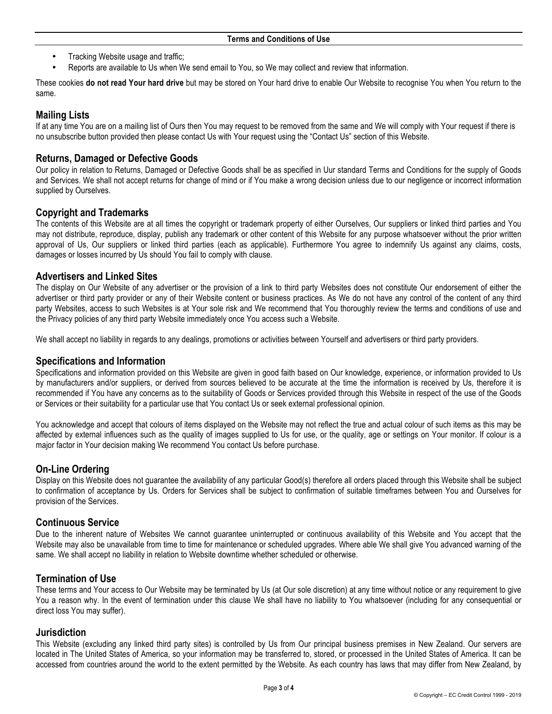- Tracking Website usage and traffic;
- Reports are available to Us when We send email to You, so We may collect and review that information.

These cookies **do not read Your hard drive** but may be stored on Your hard drive to enable Our Website to recognise You when You return to the same.

# **Mailing Lists**

If at any time You are on a mailing list of Ours then You may request to be removed from the same and We will comply with Your request if there is no unsubscribe button provided then please contact Us with Your request using the "Contact Us" section of this Website.

# **Returns, Damaged or Defective Goods**

Our policy in relation to Returns, Damaged or Defective Goods shall be as specified in Uur standard Terms and Conditions for the supply of Goods and Services. We shall not accept returns for change of mind or if You make a wrong decision unless due to our negligence or incorrect information supplied by Ourselves.

# **Copyright and Trademarks**

The contents of this Website are at all times the copyright or trademark property of either Ourselves, Our suppliers or linked third parties and You may not distribute, reproduce, display, publish any trademark or other content of this Website for any purpose whatsoever without the prior written approval of Us, Our suppliers or linked third parties (each as applicable). Furthermore You agree to indemnify Us against any claims, costs, damages or losses incurred by Us should You fail to comply with clause.

## **Advertisers and Linked Sites**

The display on Our Website of any advertiser or the provision of a link to third party Websites does not constitute Our endorsement of either the advertiser or third party provider or any of their Website content or business practices. As We do not have any control of the content of any third party Websites, access to such Websites is at Your sole risk and We recommend that You thoroughly review the terms and conditions of use and the Privacy policies of any third party Website immediately once You access such a Website.

We shall accept no liability in regards to any dealings, promotions or activities between Yourself and advertisers or third party providers.

## **Specifications and Information**

Specifications and information provided on this Website are given in good faith based on Our knowledge, experience, or information provided to Us by manufacturers and/or suppliers, or derived from sources believed to be accurate at the time the information is received by Us, therefore it is recommended if You have any concerns as to the suitability of Goods or Services provided through this Website in respect of the use of the Goods or Services or their suitability for a particular use that You contact Us or seek external professional opinion.

You acknowledge and accept that colours of items displayed on the Website may not reflect the true and actual colour of such items as this may be affected by external influences such as the quality of images supplied to Us for use, or the quality, age or settings on Your monitor. If colour is a major factor in Your decision making We recommend You contact Us before purchase.

# **On-Line Ordering**

Display on this Website does not guarantee the availability of any particular Good(s) therefore all orders placed through this Website shall be subject to confirmation of acceptance by Us. Orders for Services shall be subject to confirmation of suitable timeframes between You and Ourselves for provision of the Services.

## **Continuous Service**

Due to the inherent nature of Websites We cannot guarantee uninterrupted or continuous availability of this Website and You accept that the Website may also be unavailable from time to time for maintenance or scheduled upgrades. Where able We shall give You advanced warning of the same. We shall accept no liability in relation to Website downtime whether scheduled or otherwise.

# **Termination of Use**

These terms and Your access to Our Website may be terminated by Us (at Our sole discretion) at any time without notice or any requirement to give You a reason why. In the event of termination under this clause We shall have no liability to You whatsoever (including for any consequential or direct loss You may suffer).

## **Jurisdiction**

This Website (excluding any linked third party sites) is controlled by Us from Our principal business premises in New Zealand. Our servers are located in The United States of America, so your information may be transferred to, stored, or processed in the United States of America. It can be accessed from countries around the world to the extent permitted by the Website. As each country has laws that may differ from New Zealand, by